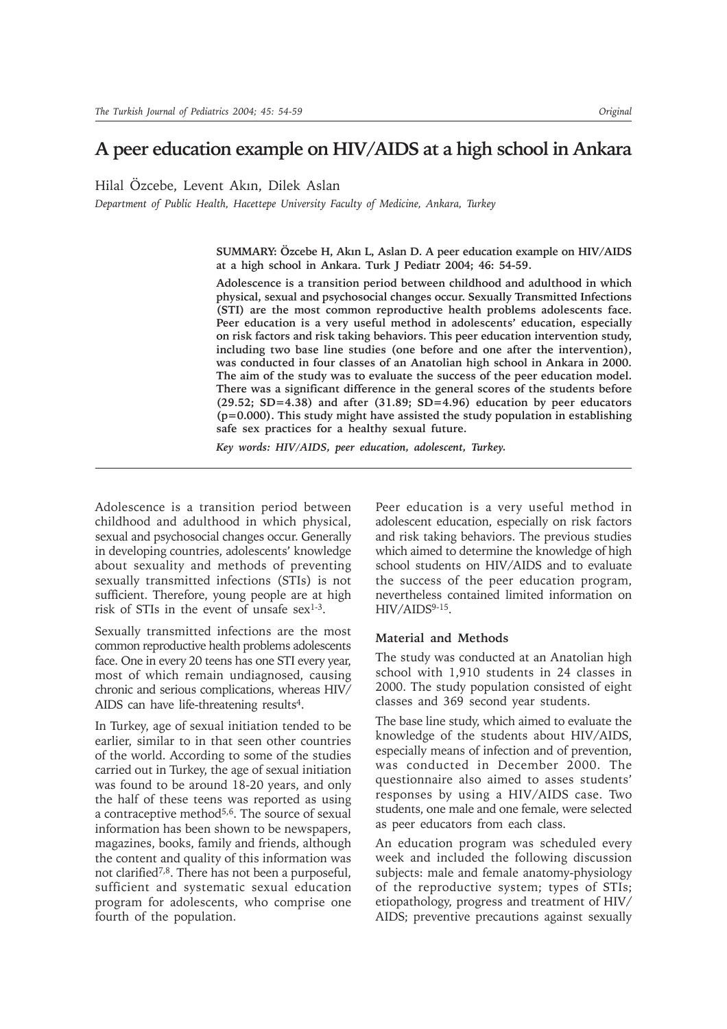## **A peer education example on HIV/AIDS at a high school in Ankara**

Hilal Özcebe, Levent Akın, Dilek Aslan

*Department of Public Health, Hacettepe University Faculty of Medicine, Ankara, Turkey*

SUMMARY: Özcebe H, Akın L, Aslan D. A peer education example on HIV/AIDS **at a high school in Ankara. Turk J Pediatr 2004; 46: 54-59.**

**Adolescence is a transition period between childhood and adulthood in which physical, sexual and psychosocial changes occur. Sexually Transmitted Infections (STI) are the most common reproductive health problems adolescents face. Peer education is a very useful method in adolescents' education, especially on risk factors and risk taking behaviors. This peer education intervention study, including two base line studies (one before and one after the intervention), was conducted in four classes of an Anatolian high school in Ankara in 2000. The aim of the study was to evaluate the success of the peer education model. There was a significant difference in the general scores of the students before (29.52; SD=4.38) and after (31.89; SD=4.96) education by peer educators (p=0.000). This study might have assisted the study population in establishing safe sex practices for a healthy sexual future.**

*Key words: HIV/AIDS, peer education, adolescent, Turkey.*

Adolescence is a transition period between childhood and adulthood in which physical, sexual and psychosocial changes occur. Generally in developing countries, adolescents' knowledge about sexuality and methods of preventing sexually transmitted infections (STIs) is not sufficient. Therefore, young people are at high risk of STIs in the event of unsafe sex1-3.

Sexually transmitted infections are the most common reproductive health problems adolescents face. One in every 20 teens has one STI every year, most of which remain undiagnosed, causing chronic and serious complications, whereas HIV/ AIDS can have life-threatening results<sup>4</sup>.

In Turkey, age of sexual initiation tended to be earlier, similar to in that seen other countries of the world. According to some of the studies carried out in Turkey, the age of sexual initiation was found to be around 18-20 years, and only the half of these teens was reported as using a contraceptive method5,6. The source of sexual information has been shown to be newspapers, magazines, books, family and friends, although the content and quality of this information was not clarified7,8. There has not been a purposeful, sufficient and systematic sexual education program for adolescents, who comprise one fourth of the population.

Peer education is a very useful method in adolescent education, especially on risk factors and risk taking behaviors. The previous studies which aimed to determine the knowledge of high school students on HIV/AIDS and to evaluate the success of the peer education program, nevertheless contained limited information on HIV/AIDS<sup>9-15</sup>.

## **Material and Methods**

The study was conducted at an Anatolian high school with 1,910 students in 24 classes in 2000. The study population consisted of eight classes and 369 second year students.

The base line study, which aimed to evaluate the knowledge of the students about HIV/AIDS, especially means of infection and of prevention, was conducted in December 2000. The questionnaire also aimed to asses students' responses by using a HIV/AIDS case. Two students, one male and one female, were selected as peer educators from each class.

An education program was scheduled every week and included the following discussion subjects: male and female anatomy-physiology of the reproductive system; types of STIs; etiopathology, progress and treatment of HIV/ AIDS; preventive precautions against sexually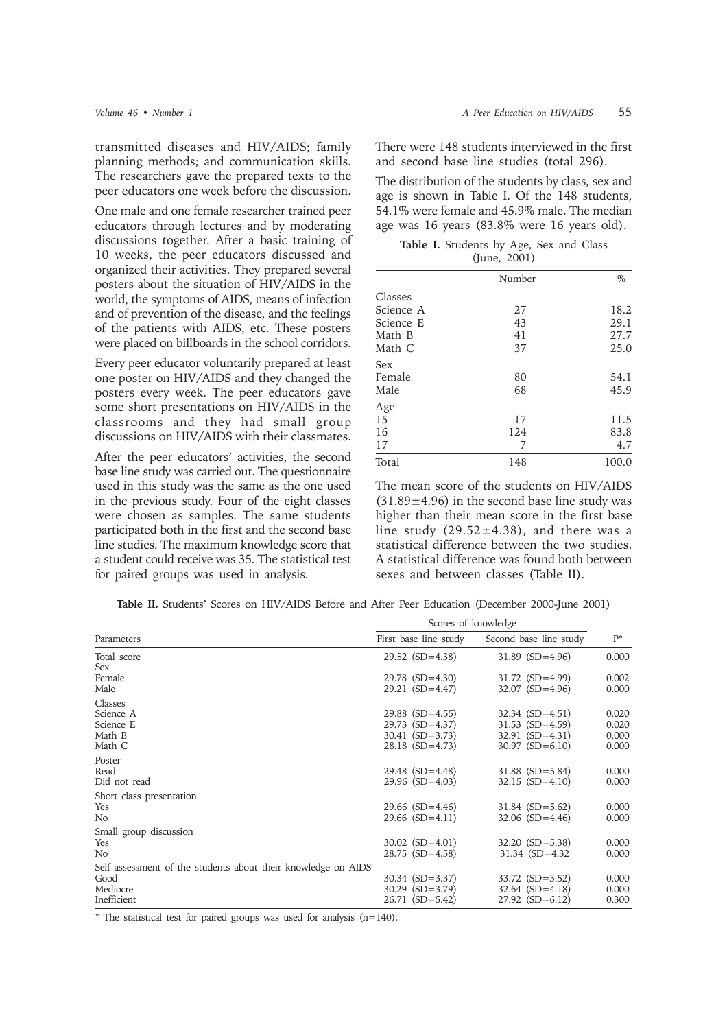transmitted diseases and HIV/AIDS; family planning methods; and communication skills. The researchers gave the prepared texts to the peer educators one week before the discussion.

One male and one female researcher trained peer educators through lectures and by moderating discussions together. After a basic training of 10 weeks, the peer educators discussed and organized their activities. They prepared several posters about the situation of HIV/AIDS in the world, the symptoms of AIDS, means of infection and of prevention of the disease, and the feelings of the patients with AIDS, etc. These posters were placed on billboards in the school corridors.

Every peer educator voluntarily prepared at least one poster on HIV/AIDS and they changed the posters every week. The peer educators gave some short presentations on HIV/AIDS in the classrooms and they had small group discussions on HIV/AIDS with their classmates.

After the peer educators' activities, the second base line study was carried out. The questionnaire used in this study was the same as the one used in the previous study. Four of the eight classes were chosen as samples. The same students participated both in the first and the second base line studies. The maximum knowledge score that a student could receive was 35. The statistical test for paired groups was used in analysis.

There were 148 students interviewed in the first and second base line studies (total 296).

The distribution of the students by class, sex and age is shown in Table I. Of the 148 students, 54.1% were female and 45.9% male. The median age was 16 years (83.8% were 16 years old).

**Table I.** Students by Age, Sex and Class (June, 2001)

|           | Number | $\%$  |
|-----------|--------|-------|
| Classes   |        |       |
| Science A | 27     | 18.2  |
| Science E | 43     | 29.1  |
| Math B    | 41     | 27.7  |
| Math C    | 37     | 25.0  |
| Sex       |        |       |
| Female    | 80     | 54.1  |
| Male      | 68     | 45.9  |
| Age       |        |       |
| 15        | 17     | 11.5  |
| 16        | 124    | 83.8  |
| 17        | 7      | 4.7   |
| Total     | 148    | 100.0 |

The mean score of the students on HIV/AIDS  $(31.89 \pm 4.96)$  in the second base line study was higher than their mean score in the first base line study  $(29.52 \pm 4.38)$ , and there was a statistical difference between the two studies. A statistical difference was found both between sexes and between classes (Table II).

**Table II.** Students' Scores on HIV/AIDS Before and After Peer Education (December 2000-June 2001)

|                                                                                                  | Scores of knowledge                                                            |                                                                                  |                                  |
|--------------------------------------------------------------------------------------------------|--------------------------------------------------------------------------------|----------------------------------------------------------------------------------|----------------------------------|
| Parameters                                                                                       | First base line study                                                          | Second base line study                                                           | $P^*$                            |
| Total score<br>Sex                                                                               | $29.52$ (SD=4.38)                                                              | $31.89$ (SD=4.96)                                                                | 0.000                            |
| Female<br>Male                                                                                   | $29.78$ (SD=4.30)<br>$29.21$ (SD=4.47)                                         | $31.72$ (SD=4.99)<br>$32.07$ (SD=4.96)                                           | 0.002<br>0.000                   |
| Classes<br>Science A<br>Science E<br>Math B<br>Math C                                            | $29.88$ (SD=4.55)<br>29.73 (SD=4.37)<br>$30.41$ (SD=3.73)<br>$28.18$ (SD=4.73) | $32.34$ (SD=4.51)<br>$31.53$ (SD=4.59)<br>$32.91$ (SD=4.31)<br>$30.97$ (SD=6.10) | 0.020<br>0.020<br>0.000<br>0.000 |
| Poster<br>Read<br>Did not read                                                                   | $29.48$ (SD=4.48)<br>$29.96$ (SD=4.03)                                         | $31.88$ (SD=5.84)<br>$32.15$ (SD=4.10)                                           | 0.000<br>0.000                   |
| Short class presentation<br>Yes<br>No                                                            | $29.66$ (SD=4.46)<br>$29.66$ (SD=4.11)                                         | $31.84$ (SD=5.62)<br>$32.06$ (SD=4.46)                                           | 0.000<br>0.000                   |
| Small group discussion<br>Yes<br>N <sub>o</sub>                                                  | $30.02$ (SD=4.01)<br>$28.75$ (SD=4.58)                                         | $32.20$ (SD=5.38)<br>$31.34$ (SD=4.32)                                           | 0.000<br>0.000                   |
| Self assessment of the students about their knowledge on AIDS<br>Good<br>Mediocre<br>Inefficient | $30.34$ (SD= $3.37$ )<br>$30.29$ (SD= $3.79$ )<br>$26.71$ (SD=5.42)            | $33.72$ (SD=3.52)<br>$32.64$ (SD=4.18)<br>$27.92$ (SD=6.12)                      | 0.000<br>0.000<br>0.300          |

 $*$  The statistical test for paired groups was used for analysis (n=140).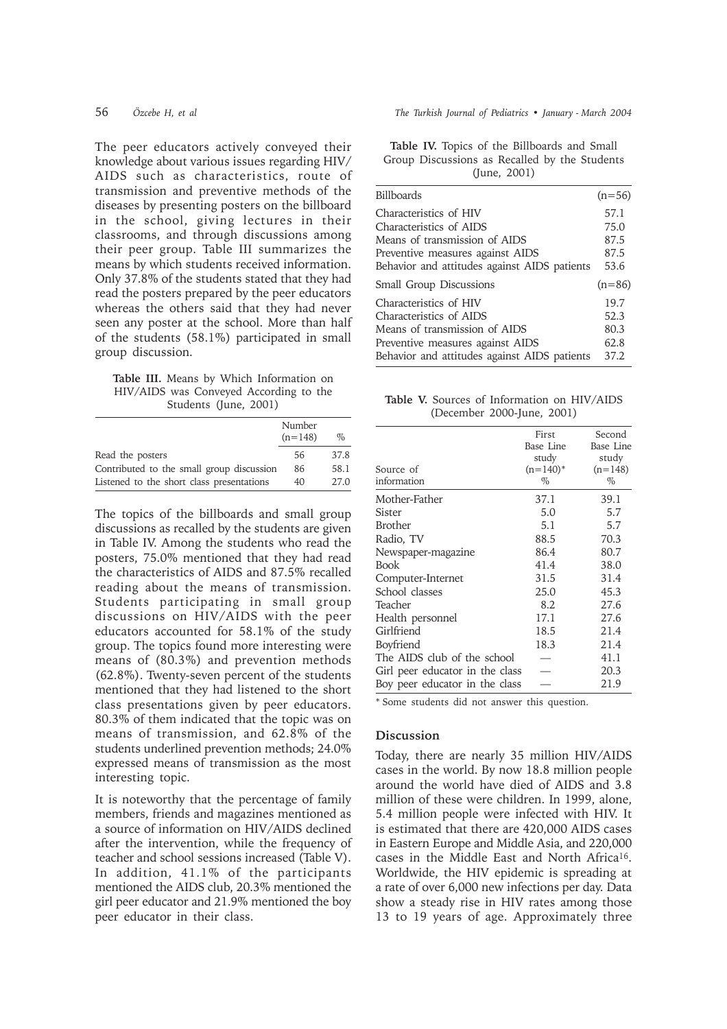The peer educators actively conveyed their knowledge about various issues regarding HIV/ AIDS such as characteristics, route of transmission and preventive methods of the diseases by presenting posters on the billboard in the school, giving lectures in their classrooms, and through discussions among their peer group. Table III summarizes the means by which students received information. Only 37.8% of the students stated that they had read the posters prepared by the peer educators whereas the others said that they had never seen any poster at the school. More than half of the students (58.1%) participated in small group discussion.

**Table III.** Means by Which Information on HIV/AIDS was Conveyed According to the Students (June, 2001)

|                                           | Number<br>$(n=148)$ | $\%$ |
|-------------------------------------------|---------------------|------|
| Read the posters                          | 56                  | 37.8 |
| Contributed to the small group discussion | 86                  | 58.1 |
| Listened to the short class presentations | 40                  | 27.0 |

The topics of the billboards and small group discussions as recalled by the students are given in Table IV. Among the students who read the posters, 75.0% mentioned that they had read the characteristics of AIDS and 87.5% recalled reading about the means of transmission. Students participating in small group discussions on HIV/AIDS with the peer educators accounted for 58.1% of the study group. The topics found more interesting were means of (80.3%) and prevention methods (62.8%). Twenty-seven percent of the students mentioned that they had listened to the short class presentations given by peer educators. 80.3% of them indicated that the topic was on means of transmission, and 62.8% of the students underlined prevention methods; 24.0% expressed means of transmission as the most interesting topic.

It is noteworthy that the percentage of family members, friends and magazines mentioned as a source of information on HIV/AIDS declined after the intervention, while the frequency of teacher and school sessions increased (Table V). In addition, 41.1% of the participants mentioned the AIDS club, 20.3% mentioned the girl peer educator and 21.9% mentioned the boy peer educator in their class.

56 *Özcebe H, et al The Turkish Journal of Pediatrics • January - March 2004*

**Table IV.** Topics of the Billboards and Small Group Discussions as Recalled by the Students (June, 2001)

| <b>Billboards</b>                                                                                                                                                      | $(n=56)$                             |
|------------------------------------------------------------------------------------------------------------------------------------------------------------------------|--------------------------------------|
| Characteristics of HIV<br>Characteristics of AIDS<br>Means of transmission of AIDS<br>Preventive measures against AIDS<br>Behavior and attitudes against AIDS patients | 57.1<br>75.0<br>87.5<br>87.5<br>53.6 |
| <b>Small Group Discussions</b>                                                                                                                                         | $(n=86)$                             |
| Characteristics of HIV<br>Characteristics of AIDS<br>Means of transmission of AIDS<br>Preventive measures against AIDS<br>Behavior and attitudes against AIDS patients | 19.7<br>52.3<br>80.3<br>62.8<br>37.2 |

**Table V.** Sources of Information on HIV/AIDS (December 2000-June, 2001)

|                                 | First<br>Base Line<br>study | Second<br>Base Line<br>study |
|---------------------------------|-----------------------------|------------------------------|
| Source of                       | $(n=140)$ *                 | $(n=148)$                    |
| information                     | $\%$                        | $\%$                         |
| Mother-Father                   | 37.1                        | 39.1                         |
| Sister                          | 5.0                         | 5.7                          |
| <b>Brother</b>                  | 5.1                         | 5.7                          |
| Radio, TV                       | 88.5                        | 70.3                         |
| Newspaper-magazine              | 86.4                        | 80.7                         |
| Book                            | 41.4                        | 38.0                         |
| Computer-Internet               | 31.5                        | 31.4                         |
| School classes                  | 25.0                        | 45.3                         |
| Teacher                         | 8.2                         | 27.6                         |
| Health personnel                | 17.1                        | 27.6                         |
| Girlfriend                      | 18.5                        | 21.4                         |
| Boyfriend                       | 18.3                        | 21.4                         |
| The AIDS club of the school     |                             | 41.1                         |
| Girl peer educator in the class |                             | 20.3                         |
| Boy peer educator in the class  |                             | 21.9                         |

\* Some students did not answer this question.

## **Discussion**

Today, there are nearly 35 million HIV/AIDS cases in the world. By now 18.8 million people around the world have died of AIDS and 3.8 million of these were children. In 1999, alone, 5.4 million people were infected with HIV. It is estimated that there are 420,000 AIDS cases in Eastern Europe and Middle Asia, and 220,000 cases in the Middle East and North Africa16. Worldwide, the HIV epidemic is spreading at a rate of over 6,000 new infections per day. Data show a steady rise in HIV rates among those 13 to 19 years of age. Approximately three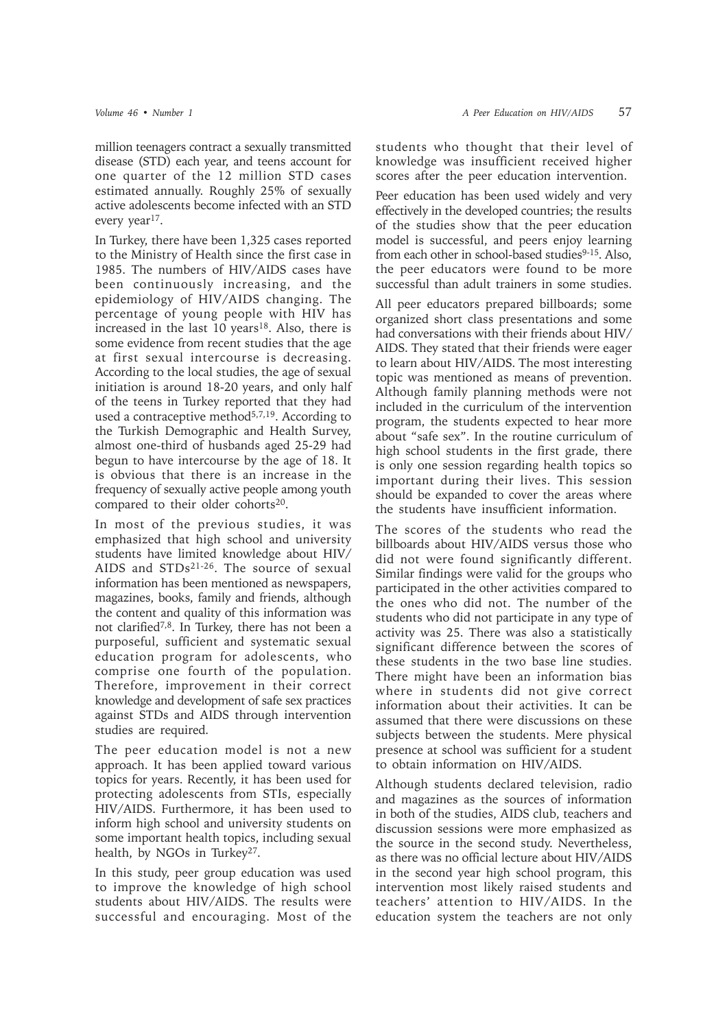million teenagers contract a sexually transmitted disease (STD) each year, and teens account for one quarter of the 12 million STD cases estimated annually. Roughly 25% of sexually active adolescents become infected with an STD every year<sup>17</sup>.

In Turkey, there have been 1,325 cases reported to the Ministry of Health since the first case in 1985. The numbers of HIV/AIDS cases have been continuously increasing, and the epidemiology of HIV/AIDS changing. The percentage of young people with HIV has increased in the last  $10$  years<sup>18</sup>. Also, there is some evidence from recent studies that the age at first sexual intercourse is decreasing. According to the local studies, the age of sexual initiation is around 18-20 years, and only half of the teens in Turkey reported that they had used a contraceptive method<sup>5,7,19</sup>. According to the Turkish Demographic and Health Survey, almost one-third of husbands aged 25-29 had begun to have intercourse by the age of 18. It is obvious that there is an increase in the frequency of sexually active people among youth compared to their older cohorts<sup>20</sup>.

In most of the previous studies, it was emphasized that high school and university students have limited knowledge about HIV/ AIDS and STDs21-26. The source of sexual information has been mentioned as newspapers, magazines, books, family and friends, although the content and quality of this information was not clarified7,8. In Turkey, there has not been a purposeful, sufficient and systematic sexual education program for adolescents, who comprise one fourth of the population. Therefore, improvement in their correct knowledge and development of safe sex practices against STDs and AIDS through intervention studies are required.

The peer education model is not a new approach. It has been applied toward various topics for years. Recently, it has been used for protecting adolescents from STIs, especially HIV/AIDS. Furthermore, it has been used to inform high school and university students on some important health topics, including sexual health, by NGOs in Turkey<sup>27</sup>.

In this study, peer group education was used to improve the knowledge of high school students about HIV/AIDS. The results were successful and encouraging. Most of the

students who thought that their level of knowledge was insufficient received higher scores after the peer education intervention.

Peer education has been used widely and very effectively in the developed countries; the results of the studies show that the peer education model is successful, and peers enjoy learning from each other in school-based studies<sup>9-15</sup>. Also, the peer educators were found to be more successful than adult trainers in some studies.

All peer educators prepared billboards; some organized short class presentations and some had conversations with their friends about HIV/ AIDS. They stated that their friends were eager to learn about HIV/AIDS. The most interesting topic was mentioned as means of prevention. Although family planning methods were not included in the curriculum of the intervention program, the students expected to hear more about "safe sex". In the routine curriculum of high school students in the first grade, there is only one session regarding health topics so important during their lives. This session should be expanded to cover the areas where the students have insufficient information.

The scores of the students who read the billboards about HIV/AIDS versus those who did not were found significantly different. Similar findings were valid for the groups who participated in the other activities compared to the ones who did not. The number of the students who did not participate in any type of activity was 25. There was also a statistically significant difference between the scores of these students in the two base line studies. There might have been an information bias where in students did not give correct information about their activities. It can be assumed that there were discussions on these subjects between the students. Mere physical presence at school was sufficient for a student to obtain information on HIV/AIDS.

Although students declared television, radio and magazines as the sources of information in both of the studies, AIDS club, teachers and discussion sessions were more emphasized as the source in the second study. Nevertheless, as there was no official lecture about HIV/AIDS in the second year high school program, this intervention most likely raised students and teachers' attention to HIV/AIDS. In the education system the teachers are not only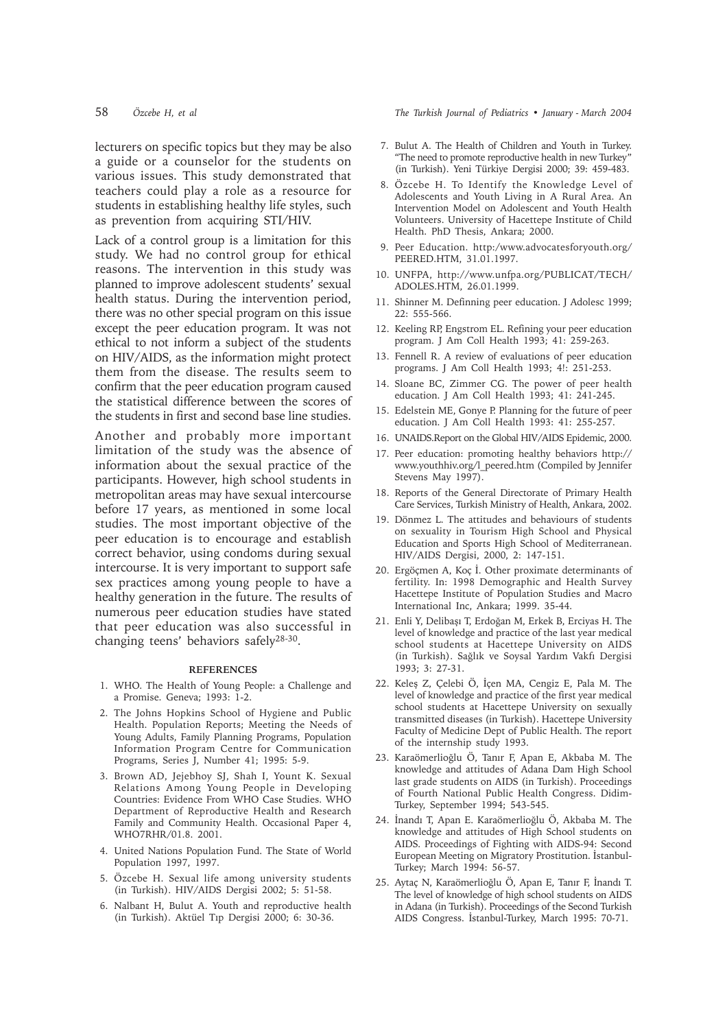lecturers on specific topics but they may be also a guide or a counselor for the students on various issues. This study demonstrated that teachers could play a role as a resource for students in establishing healthy life styles, such as prevention from acquiring STI/HIV.

Lack of a control group is a limitation for this study. We had no control group for ethical reasons. The intervention in this study was planned to improve adolescent students' sexual health status. During the intervention period, there was no other special program on this issue except the peer education program. It was not ethical to not inform a subject of the students on HIV/AIDS, as the information might protect them from the disease. The results seem to confirm that the peer education program caused the statistical difference between the scores of the students in first and second base line studies.

Another and probably more important limitation of the study was the absence of information about the sexual practice of the participants. However, high school students in metropolitan areas may have sexual intercourse before 17 years, as mentioned in some local studies. The most important objective of the peer education is to encourage and establish correct behavior, using condoms during sexual intercourse. It is very important to support safe sex practices among young people to have a healthy generation in the future. The results of numerous peer education studies have stated that peer education was also successful in changing teens' behaviors safely28-30.

## **REFERENCES**

- 1. WHO. The Health of Young People: a Challenge and a Promise. Geneva; 1993: 1-2.
- 2. The Johns Hopkins School of Hygiene and Public Health. Population Reports; Meeting the Needs of Young Adults, Family Planning Programs, Population Information Program Centre for Communication Programs, Series J, Number 41; 1995: 5-9.
- 3. Brown AD, Jejebhoy SJ, Shah I, Yount K. Sexual Relations Among Young People in Developing Countries: Evidence From WHO Case Studies. WHO Department of Reproductive Health and Research Family and Community Health. Occasional Paper 4, WHO7RHR/01.8. 2001.
- 4. United Nations Population Fund. The State of World Population 1997, 1997.
- 5. Özcebe H. Sexual life among university students (in Turkish). HIV/AIDS Dergisi 2002; 5: 51-58.
- 6. Nalbant H, Bulut A. Youth and reproductive health (in Turkish). Aktüel Tıp Dergisi 2000; 6: 30-36.

58 *Özcebe H, et al The Turkish Journal of Pediatrics • January - March 2004*

- 7. Bulut A. The Health of Children and Youth in Turkey. "The need to promote reproductive health in new Turkey" (in Turkish). Yeni Türkiye Dergisi 2000; 39: 459-483.
- 8. Özcebe H. To Identify the Knowledge Level of Adolescents and Youth Living in A Rural Area. An Intervention Model on Adolescent and Youth Health Volunteers. University of Hacettepe Institute of Child Health. PhD Thesis, Ankara; 2000.
- 9. Peer Education. http:/www.advocatesforyouth.org/ PEERED.HTM, 31.01.1997.
- 10. UNFPA, http://www.unfpa.org/PUBLICAT/TECH/ ADOLES.HTM, 26.01.1999.
- 11. Shinner M. Definning peer education. J Adolesc 1999; 22: 555-566.
- 12. Keeling RP, Engstrom EL. Refining your peer education program. J Am Coll Health 1993; 41: 259-263.
- 13. Fennell R. A review of evaluations of peer education programs. J Am Coll Health 1993; 4!: 251-253.
- 14. Sloane BC, Zimmer CG. The power of peer health education. J Am Coll Health 1993; 41: 241-245.
- 15. Edelstein ME, Gonye P. Planning for the future of peer education. J Am Coll Health 1993: 41: 255-257.
- 16. UNAIDS.Report on the Global HIV/AIDS Epidemic, 2000.
- 17. Peer education: promoting healthy behaviors http:// www.youthhiv.org/l\_peered.htm (Compiled by Jennifer Stevens May 1997).
- 18. Reports of the General Directorate of Primary Health Care Services, Turkish Ministry of Health, Ankara, 2002.
- 19. Dönmez L. The attitudes and behaviours of students on sexuality in Tourism High School and Physical Education and Sports High School of Mediterranean. HIV/AIDS Dergisi, 2000, 2: 147-151.
- 20. Ergöçmen A, Koç İ. Other proximate determinants of fertility. In: 1998 Demographic and Health Survey Hacettepe Institute of Population Studies and Macro International Inc, Ankara; 1999. 35-44.
- 21. Enli Y, Delibaşı T, Erdoğan M, Erkek B, Erciyas H. The level of knowledge and practice of the last year medical school students at Hacettepe University on AIDS (in Turkish). Sağlık ve Soysal Yardım Vakfı Dergisi 1993; 3: 27-31.
- 22. Keleş Z, Çelebi Ö, İçen MA, Cengiz E, Pala M. The level of knowledge and practice of the first year medical school students at Hacettepe University on sexually transmitted diseases (in Turkish). Hacettepe University Faculty of Medicine Dept of Public Health. The report of the internship study 1993.
- 23. Karaömerlioğlu Ö, Tanır F, Apan E, Akbaba M. The knowledge and attitudes of Adana Dam High School last grade students on AIDS (in Turkish). Proceedings of Fourth National Public Health Congress. Didim-Turkey, September 1994; 543-545.
- 24. İnandı T, Apan E. Karaömerlioğlu Ö, Akbaba M. The knowledge and attitudes of High School students on AIDS. Proceedings of Fighting with AIDS-94: Second European Meeting on Migratory Prostitution. İstanbul-Turkey; March 1994: 56-57.
- 25. Aytaç N, Karaömerlioğlu Ö, Apan E, Tanır F, İnandı T. The level of knowledge of high school students on AIDS in Adana (in Turkish). Proceedings of the Second Turkish AIDS Congress. İstanbul-Turkey, March 1995: 70-71.